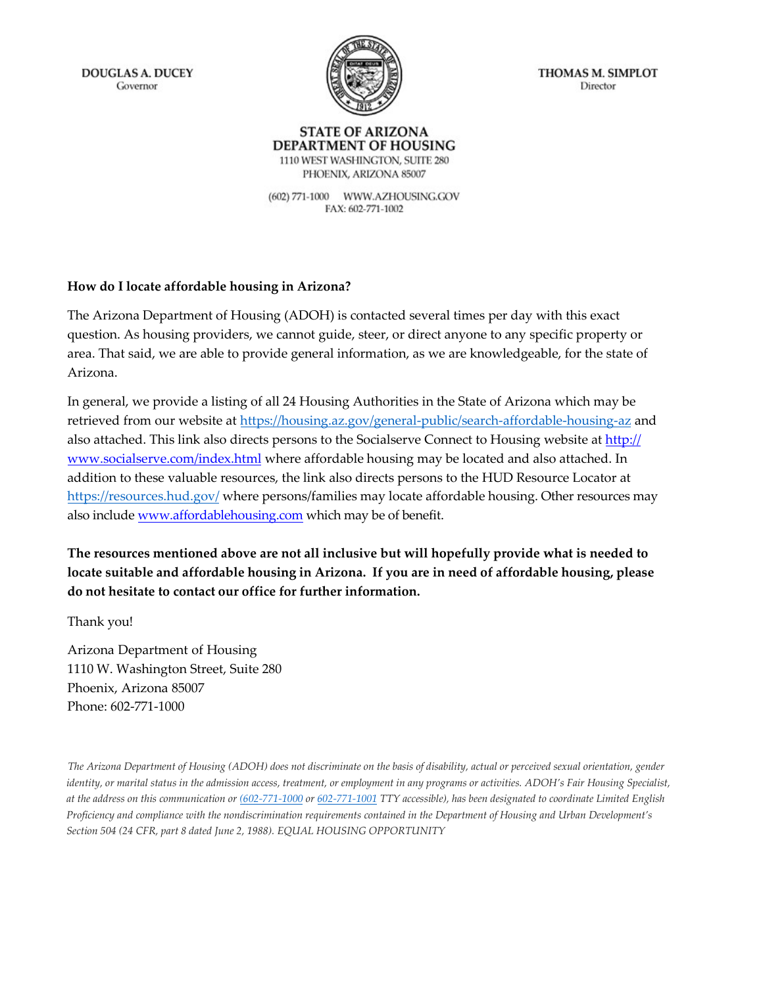**DOUGLAS A. DUCEY** Governor



THOMAS M. SIMPLOT Director

#### **STATE OF ARIZONA** DEPARTMENT OF HOUSING 1110 WEST WASHINGTON, SUITE 280

PHOENIX, ARIZONA 85007 (602) 771-1000 WWW.AZHOUSING.GOV FAX: 602-771-1002

#### **How do I locate affordable housing in Arizona?**

The Arizona Department of Housing (ADOH) is contacted several times per day with this exact question. As housing providers, we cannot guide, steer, or direct anyone to any specific property or area. That said, we are able to provide general information, as we are knowledgeable, for the state of Arizona.

In general, we provide a listing of all 24 Housing Authorities in the State of Arizona which may be retrieved from our website at <https://housing.az.gov/general-public/search-affordable-housing-az> and also attached. This [link also directs persons to the Socialserve Connect to Housing website at](http://www.socialserve.com/index.html) http:// www.socialserve.com/index.html [where affordable housing may be located and also attached. In](http://www.socialserve.com/index.html) addition to these valuable resources, the link also directs persons to the HUD Resource Locator at <https://resources.hud.gov/> where persons/families may locate affordable housing. Other resources may also include [www.affordablehousing.com](http://www.affordablehousing.com/) which may be of benefit.

**The resources mentioned above are not all inclusive but will hopefully provide what is needed to locate suitable and affordable housing in Arizona. If you are in need of affordable housing, please do not hesitate to contact our office for further information.** 

Thank you!

Arizona Department of Housing 1110 W. Washington Street, Suite 280 Phoenix, Arizona 85007 Phone: 602-771-1000

The Arizona Department of Housing (ADOH) does not discriminate on the basis of disability, actual or perceived sexual orientation, gender *identity, or marital status in the admission access, treatment, or employment in any programs or activities. ADOH's Fair Housing Specialist, at the address on this communication or (602-771-1000 or 602-771-1001 TTY accessible), has been designated to coordinate Limited English Proficiency and compliance with the nondiscrimination requirements contained in the Department of Housing and Urban Development's Section 504 (24 CFR, part 8 dated June 2, 1988). EQUAL HOUSING OPPORTUNITY*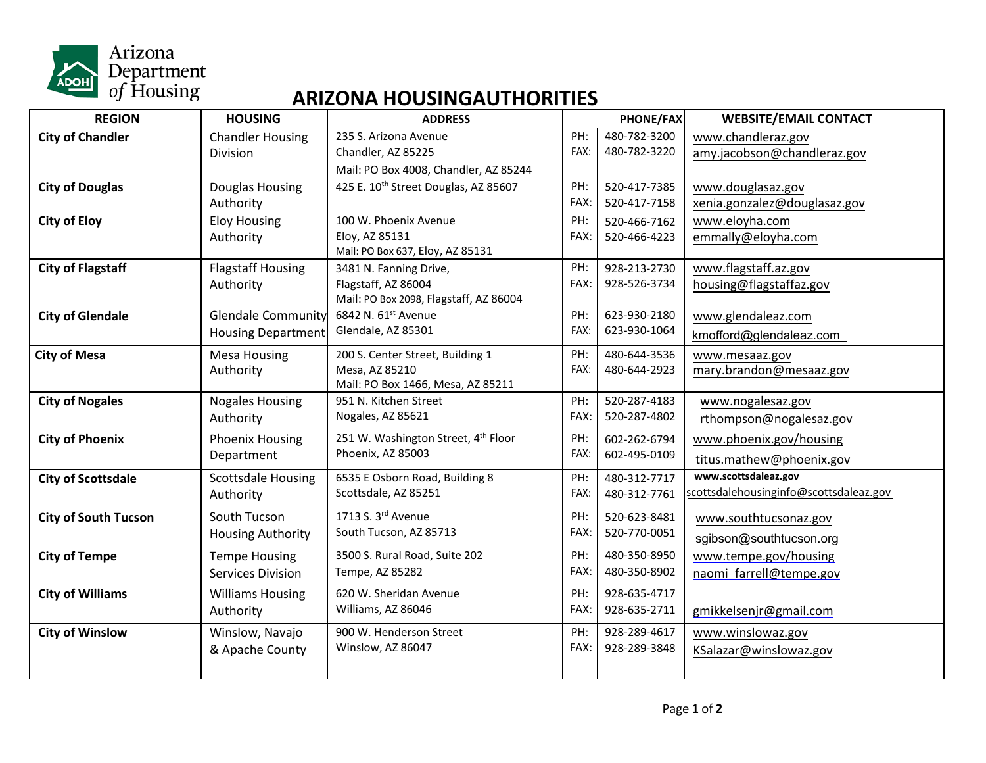

### **ARIZONA HOUSINGAUTHORITIES**

| <b>REGION</b>               | <b>HOUSING</b>            | <b>ADDRESS</b>                                   | <b>PHONE/FAX</b> |              | <b>WEBSITE/EMAIL CONTACT</b>           |
|-----------------------------|---------------------------|--------------------------------------------------|------------------|--------------|----------------------------------------|
| <b>City of Chandler</b>     | <b>Chandler Housing</b>   | 235 S. Arizona Avenue                            | PH:              | 480-782-3200 | www.chandleraz.gov                     |
|                             | Division                  | Chandler, AZ 85225                               |                  | 480-782-3220 | amy.jacobson@chandleraz.gov            |
|                             |                           | Mail: PO Box 4008, Chandler, AZ 85244            |                  |              |                                        |
| <b>City of Douglas</b>      | Douglas Housing           | 425 E. 10 <sup>th</sup> Street Douglas, AZ 85607 | PH:              | 520-417-7385 | www.douglasaz.gov                      |
|                             | Authority                 |                                                  | FAX:             | 520-417-7158 | xenia.gonzalez@douglasaz.gov           |
| <b>City of Eloy</b>         | <b>Eloy Housing</b>       | 100 W. Phoenix Avenue                            | PH:              | 520-466-7162 | www.eloyha.com                         |
|                             | Authority                 | Eloy, AZ 85131                                   | FAX:             | 520-466-4223 | emmally@eloyha.com                     |
|                             |                           | Mail: PO Box 637, Eloy, AZ 85131                 |                  |              |                                        |
| <b>City of Flagstaff</b>    | <b>Flagstaff Housing</b>  | 3481 N. Fanning Drive,                           | PH:              | 928-213-2730 | www.flagstaff.az.gov                   |
|                             | Authority                 | Flagstaff, AZ 86004                              | FAX:             | 928-526-3734 | housing@flagstaffaz.gov                |
|                             |                           | Mail: PO Box 2098, Flagstaff, AZ 86004           |                  |              |                                        |
| <b>City of Glendale</b>     | <b>Glendale Community</b> | 6842 N. 61st Avenue                              | PH:              | 623-930-2180 | www.glendaleaz.com                     |
|                             | <b>Housing Department</b> | Glendale, AZ 85301                               | FAX:             | 623-930-1064 | kmofford@glendaleaz.com                |
| <b>City of Mesa</b>         | <b>Mesa Housing</b>       | 200 S. Center Street, Building 1                 | PH:              | 480-644-3536 | www.mesaaz.gov                         |
|                             | Authority                 | Mesa, AZ 85210                                   | FAX:             | 480-644-2923 | mary.brandon@mesaaz.gov                |
|                             |                           | Mail: PO Box 1466, Mesa, AZ 85211                |                  |              |                                        |
| <b>City of Nogales</b>      | <b>Nogales Housing</b>    | 951 N. Kitchen Street                            | PH:              | 520-287-4183 | www.nogalesaz.gov                      |
|                             | Authority                 | Nogales, AZ 85621                                | FAX:             | 520-287-4802 | rthompson@nogalesaz.gov                |
| <b>City of Phoenix</b>      | <b>Phoenix Housing</b>    | 251 W. Washington Street, 4 <sup>th</sup> Floor  | PH:              | 602-262-6794 | www.phoenix.gov/housing                |
|                             | Department                | Phoenix, AZ 85003                                | FAX:             | 602-495-0109 | titus.mathew@phoenix.gov               |
| <b>City of Scottsdale</b>   | <b>Scottsdale Housing</b> | 6535 E Osborn Road, Building 8                   | PH:              | 480-312-7717 | www.scottsdaleaz.gov                   |
|                             | Authority                 | Scottsdale, AZ 85251                             | FAX:             | 480-312-7761 | scottsdalehousinginfo@scottsdaleaz.gov |
|                             |                           |                                                  |                  |              |                                        |
| <b>City of South Tucson</b> | South Tucson              | 1713 S. 3rd Avenue                               | PH:              | 520-623-8481 | www.southtucsonaz.gov                  |
|                             | <b>Housing Authority</b>  | South Tucson, AZ 85713                           | FAX:             | 520-770-0051 | sgibson@southtucson.org                |
| <b>City of Tempe</b>        | <b>Tempe Housing</b>      | 3500 S. Rural Road, Suite 202                    | PH:              | 480-350-8950 | www.tempe.gov/housing                  |
|                             | <b>Services Division</b>  | Tempe, AZ 85282                                  | FAX:             | 480-350-8902 | naomi farrell@tempe.gov                |
| <b>City of Williams</b>     | <b>Williams Housing</b>   | 620 W. Sheridan Avenue                           | PH:              | 928-635-4717 |                                        |
|                             | Authority                 | Williams, AZ 86046                               | FAX:             | 928-635-2711 | gmikkelsenjr@gmail.com                 |
| <b>City of Winslow</b>      | Winslow, Navajo           | 900 W. Henderson Street                          | PH:              | 928-289-4617 | www.winslowaz.gov                      |
|                             | & Apache County           | Winslow, AZ 86047                                | FAX:             | 928-289-3848 |                                        |
|                             |                           |                                                  |                  |              | KSalazar@winslowaz.gov                 |
|                             |                           |                                                  |                  |              |                                        |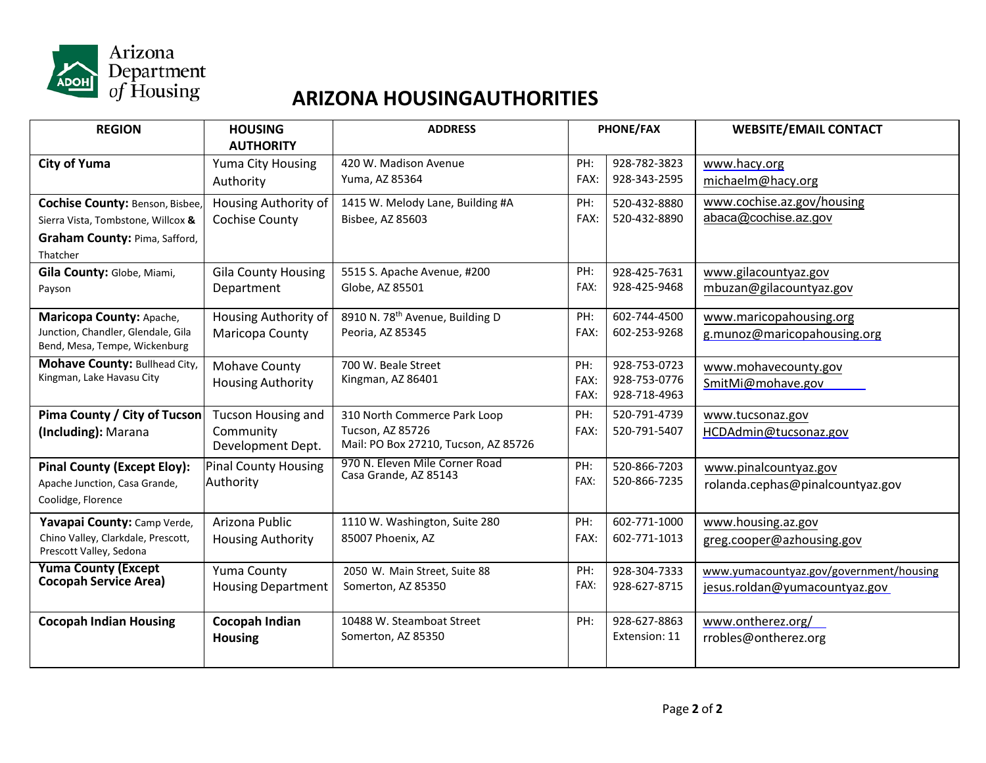

## **ARIZONA HOUSINGAUTHORITIES**

| <b>REGION</b>                          | <b>HOUSING</b>              | <b>ADDRESS</b>                                          |      | <b>PHONE/FAX</b> | <b>WEBSITE/EMAIL CONTACT</b>            |
|----------------------------------------|-----------------------------|---------------------------------------------------------|------|------------------|-----------------------------------------|
|                                        | <b>AUTHORITY</b>            |                                                         |      |                  |                                         |
| <b>City of Yuma</b>                    | Yuma City Housing           | 420 W. Madison Avenue                                   | PH:  | 928-782-3823     | www.hacy.org                            |
|                                        | Authority                   | Yuma, AZ 85364                                          | FAX: | 928-343-2595     | michaelm@hacy.org                       |
| <b>Cochise County: Benson, Bisbee,</b> | Housing Authority of        | 1415 W. Melody Lane, Building #A                        | PH:  | 520-432-8880     | www.cochise.az.gov/housing              |
| Sierra Vista, Tombstone, Willcox &     | Cochise County              | Bisbee, AZ 85603                                        | FAX: | 520-432-8890     | abaca@cochise.az.gov                    |
| Graham County: Pima, Safford,          |                             |                                                         |      |                  |                                         |
| Thatcher                               |                             |                                                         |      |                  |                                         |
| Gila County: Globe, Miami,             | <b>Gila County Housing</b>  | 5515 S. Apache Avenue, #200                             | PH:  | 928-425-7631     | www.gilacountyaz.gov                    |
| Payson                                 | Department                  | Globe, AZ 85501                                         | FAX: | 928-425-9468     | mbuzan@gilacountyaz.gov                 |
| Maricopa County: Apache,               | Housing Authority of        | 8910 N. 78 <sup>th</sup> Avenue, Building D             | PH:  | 602-744-4500     | www.maricopahousing.org                 |
| Junction, Chandler, Glendale, Gila     | Maricopa County             | Peoria, AZ 85345                                        | FAX: | 602-253-9268     | g.munoz@maricopahousing.org             |
| Bend, Mesa, Tempe, Wickenburg          |                             |                                                         |      |                  |                                         |
| Mohave County: Bullhead City,          | Mohave County               | 700 W. Beale Street                                     | PH:  | 928-753-0723     | www.mohavecounty.gov                    |
| Kingman, Lake Havasu City              | <b>Housing Authority</b>    | Kingman, AZ 86401                                       | FAX: | 928-753-0776     | SmitMi@mohave.gov                       |
|                                        |                             |                                                         | FAX: | 928-718-4963     |                                         |
| Pima County / City of Tucson           | <b>Tucson Housing and</b>   | 310 North Commerce Park Loop                            | PH:  | 520-791-4739     | www.tucsonaz.gov                        |
| (Including): Marana                    | Community                   | Tucson, AZ 85726                                        | FAX: | 520-791-5407     | HCDAdmin@tucsonaz.gov                   |
|                                        | Development Dept.           | Mail: PO Box 27210, Tucson, AZ 85726                    |      |                  |                                         |
| <b>Pinal County (Except Eloy):</b>     | <b>Pinal County Housing</b> | 970 N. Eleven Mile Corner Road<br>Casa Grande, AZ 85143 | PH:  | 520-866-7203     | www.pinalcountyaz.gov                   |
| Apache Junction, Casa Grande,          | Authority                   |                                                         | FAX: | 520-866-7235     | rolanda.cephas@pinalcountyaz.gov        |
| Coolidge, Florence                     |                             |                                                         |      |                  |                                         |
| Yavapai County: Camp Verde,            | Arizona Public              | 1110 W. Washington, Suite 280                           | PH:  | 602-771-1000     | www.housing.az.gov                      |
| Chino Valley, Clarkdale, Prescott,     | <b>Housing Authority</b>    | 85007 Phoenix, AZ                                       | FAX: | 602-771-1013     | greg.cooper@azhousing.gov               |
| Prescott Valley, Sedona                |                             |                                                         |      |                  |                                         |
| <b>Yuma County (Except</b>             | Yuma County                 | 2050 W. Main Street, Suite 88                           | PH:  | 928-304-7333     | www.yumacountyaz.gov/government/housing |
| <b>Cocopah Service Area)</b>           | <b>Housing Department</b>   | Somerton, AZ 85350                                      | FAX: | 928-627-8715     | jesus.roldan@yumacountyaz.gov           |
|                                        |                             |                                                         |      |                  |                                         |
| <b>Cocopah Indian Housing</b>          | <b>Cocopah Indian</b>       | 10488 W. Steamboat Street                               | PH:  | 928-627-8863     | www.ontherez.org/                       |
|                                        | <b>Housing</b>              | Somerton, AZ 85350                                      |      | Extension: 11    | rrobles@ontherez.org                    |
|                                        |                             |                                                         |      |                  |                                         |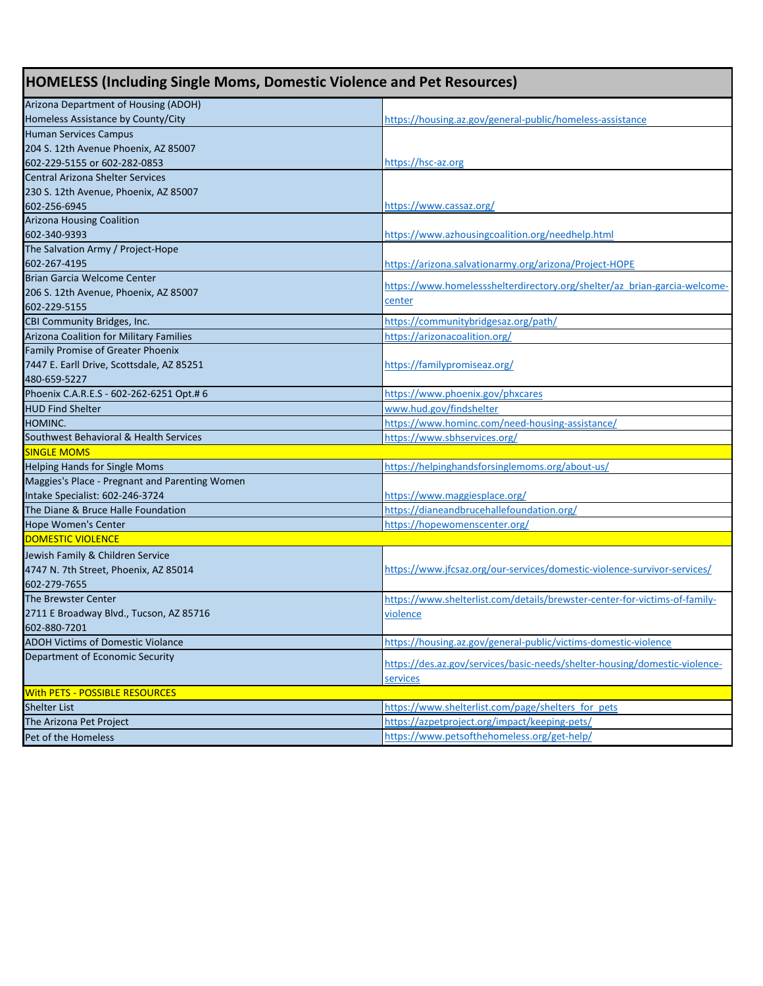| <b>HOMELESS (Including Single Moms, Domestic Violence and Pet Resources)</b>      |                                                                            |  |
|-----------------------------------------------------------------------------------|----------------------------------------------------------------------------|--|
| Arizona Department of Housing (ADOH)                                              |                                                                            |  |
| Homeless Assistance by County/City                                                | https://housing.az.gov/general-public/homeless-assistance                  |  |
| Human Services Campus                                                             |                                                                            |  |
| 204 S. 12th Avenue Phoenix, AZ 85007                                              |                                                                            |  |
| 602-229-5155 or 602-282-0853                                                      | https://hsc-az.org                                                         |  |
| Central Arizona Shelter Services                                                  |                                                                            |  |
| 230 S. 12th Avenue, Phoenix, AZ 85007                                             |                                                                            |  |
| 602-256-6945                                                                      | https://www.cassaz.org/                                                    |  |
| <b>Arizona Housing Coalition</b>                                                  |                                                                            |  |
| 602-340-9393                                                                      | https://www.azhousingcoalition.org/needhelp.html                           |  |
| The Salvation Army / Project-Hope                                                 |                                                                            |  |
| 602-267-4195                                                                      | https://arizona.salvationarmy.org/arizona/Project-HOPE                     |  |
| Brian Garcia Welcome Center                                                       | https://www.homelessshelterdirectory.org/shelter/az brian-garcia-welcome-  |  |
| 206 S. 12th Avenue, Phoenix, AZ 85007                                             | center                                                                     |  |
| 602-229-5155                                                                      |                                                                            |  |
| CBI Community Bridges, Inc.                                                       | https://communitybridgesaz.org/path/                                       |  |
| <b>Arizona Coalition for Military Families</b>                                    | https://arizonacoalition.org/                                              |  |
| Family Promise of Greater Phoenix                                                 |                                                                            |  |
| 7447 E. Earll Drive, Scottsdale, AZ 85251                                         | https://familypromiseaz.org/                                               |  |
| 480-659-5227                                                                      |                                                                            |  |
| Phoenix C.A.R.E.S - 602-262-6251 Opt.# 6                                          | https://www.phoenix.gov/phxcares                                           |  |
| <b>HUD Find Shelter</b>                                                           | www.hud.gov/findshelter                                                    |  |
| HOMINC.                                                                           | https://www.hominc.com/need-housing-assistance/                            |  |
| Southwest Behavioral & Health Services                                            | https://www.sbhservices.org/                                               |  |
| <b>SINGLE MOMS</b>                                                                |                                                                            |  |
| <b>Helping Hands for Single Moms</b>                                              | https://helpinghandsforsinglemoms.org/about-us/                            |  |
| Maggies's Place - Pregnant and Parenting Women<br>Intake Specialist: 602-246-3724 |                                                                            |  |
| The Diane & Bruce Halle Foundation                                                | https://www.maggiesplace.org/<br>https://dianeandbrucehallefoundation.org/ |  |
| <b>Hope Women's Center</b>                                                        |                                                                            |  |
| <b>DOMESTIC VIOLENCE</b>                                                          | https://hopewomenscenter.org/                                              |  |
|                                                                                   |                                                                            |  |
| Jewish Family & Children Service                                                  |                                                                            |  |
| 4747 N. 7th Street, Phoenix, AZ 85014                                             | https://www.jfcsaz.org/our-services/domestic-violence-survivor-services/   |  |
| 602-279-7655<br><b>The Brewster Center</b>                                        | https://www.shelterlist.com/details/brewster-center-for-victims-of-family- |  |
|                                                                                   |                                                                            |  |
| 2711 E Broadway Blvd., Tucson, AZ 85716<br>602-880-7201                           | violence                                                                   |  |
| <b>ADOH Victims of Domestic Violance</b>                                          | https://housing.az.gov/general-public/victims-domestic-violence            |  |
| Department of Economic Security                                                   |                                                                            |  |
|                                                                                   | https://des.az.gov/services/basic-needs/shelter-housing/domestic-violence- |  |
|                                                                                   | services                                                                   |  |
| <b>With PETS - POSSIBLE RESOURCES</b>                                             |                                                                            |  |
| <b>Shelter List</b>                                                               | https://www.shelterlist.com/page/shelters_for_pets                         |  |
| The Arizona Pet Project                                                           | https://azpetproject.org/impact/keeping-pets/                              |  |
| Pet of the Homeless                                                               | https://www.petsofthehomeless.org/get-help/                                |  |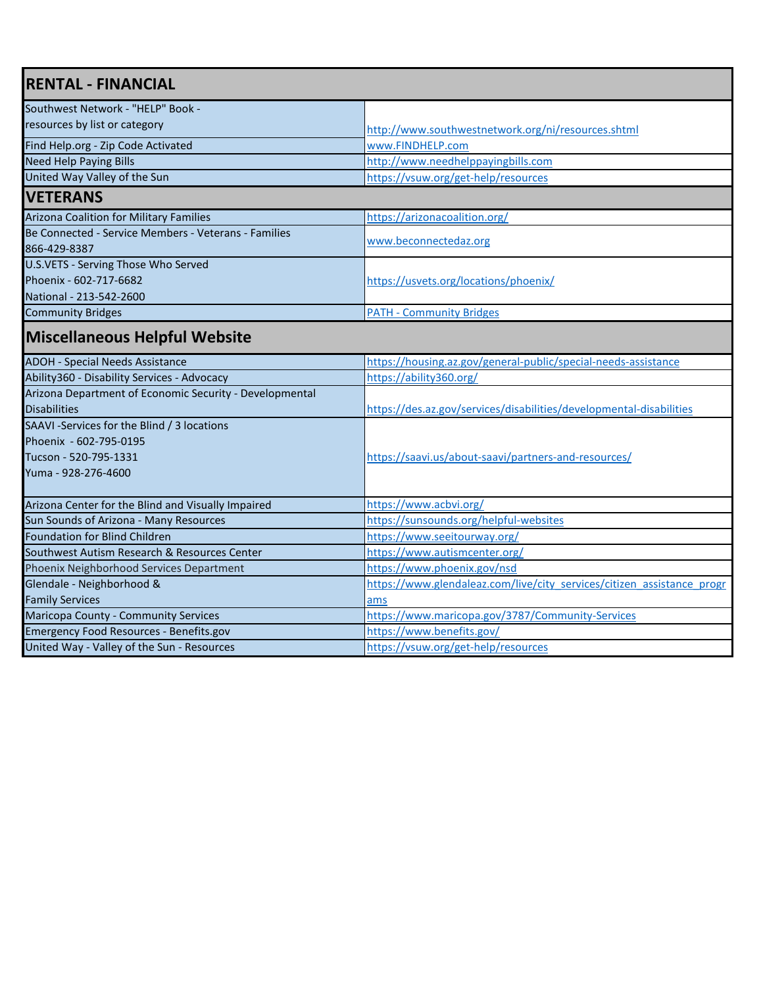| <b>RENTAL - FINANCIAL</b>                            |                                                    |  |
|------------------------------------------------------|----------------------------------------------------|--|
| Southwest Network - "HELP" Book -                    |                                                    |  |
| resources by list or category                        | http://www.southwestnetwork.org/ni/resources.shtml |  |
| Find Help.org - Zip Code Activated                   | www.FINDHELP.com                                   |  |
| <b>Need Help Paying Bills</b>                        | http://www.needhelppayingbills.com                 |  |
| United Way Valley of the Sun                         | https://vsuw.org/get-help/resources                |  |
| <b>VETERANS</b>                                      |                                                    |  |
| Arizona Coalition for Military Families              | https://arizonacoalition.org/                      |  |
| Be Connected - Service Members - Veterans - Families | www.beconnectedaz.org                              |  |
| 866-429-8387                                         |                                                    |  |
| U.S.VETS - Serving Those Who Served                  |                                                    |  |
| Phoenix - 602-717-6682                               | https://usvets.org/locations/phoenix/              |  |
| National - 213-542-2600                              |                                                    |  |
| <b>Community Bridges</b>                             | <b>PATH - Community Bridges</b>                    |  |

# **Miscellaneous Helpful Website**

| <b>ADOH - Special Needs Assistance</b>                  | https://housing.az.gov/general-public/special-needs-assistance         |
|---------------------------------------------------------|------------------------------------------------------------------------|
| Ability360 - Disability Services - Advocacy             | https://ability360.org/                                                |
| Arizona Department of Economic Security - Developmental |                                                                        |
| <b>Disabilities</b>                                     | https://des.az.gov/services/disabilities/developmental-disabilities    |
| SAAVI-Services for the Blind / 3 locations              |                                                                        |
| Phoenix - 602-795-0195                                  |                                                                        |
| Tucson - 520-795-1331                                   | https://saavi.us/about-saavi/partners-and-resources/                   |
| Yuma - 928-276-4600                                     |                                                                        |
|                                                         |                                                                        |
| Arizona Center for the Blind and Visually Impaired      | https://www.acbvi.org/                                                 |
| Sun Sounds of Arizona - Many Resources                  | https://sunsounds.org/helpful-websites                                 |
| <b>Foundation for Blind Children</b>                    | https://www.seeitourway.org/                                           |
| Southwest Autism Research & Resources Center            | https://www.autismcenter.org/                                          |
| Phoenix Neighborhood Services Department                | https://www.phoenix.gov/nsd                                            |
| Glendale - Neighborhood &                               | https://www.glendaleaz.com/live/city services/citizen assistance progr |
| <b>Family Services</b>                                  | ams                                                                    |
| <b>Maricopa County - Community Services</b>             | https://www.maricopa.gov/3787/Community-Services                       |
| Emergency Food Resources - Benefits.gov                 | https://www.benefits.gov/                                              |
| United Way - Valley of the Sun - Resources              | https://vsuw.org/get-help/resources                                    |